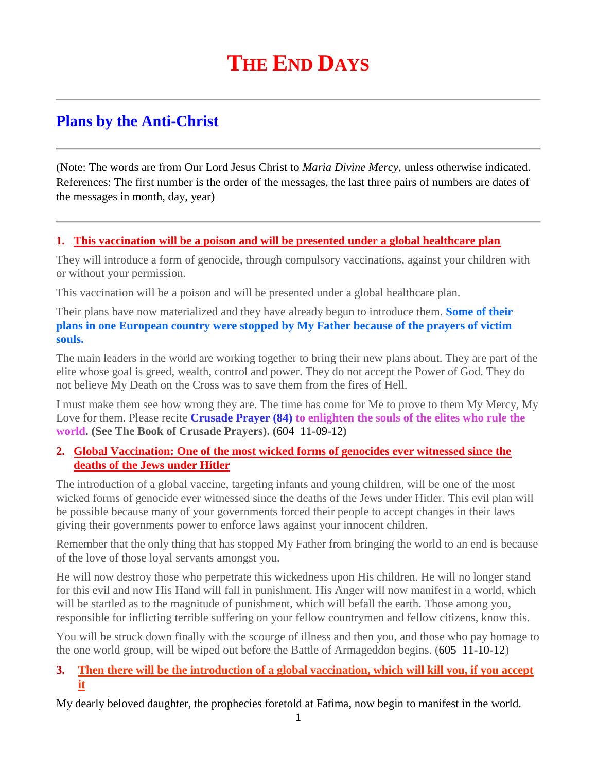# **THE END DAYS**

# **Plans by the Anti-Christ**

(Note: The words are from Our Lord Jesus Christ to *Maria Divine Mercy*, unless otherwise indicated. References: The first number is the order of the messages, the last three pairs of numbers are dates of the messages in month, day, year)

#### **1. [This vaccination will be a poison and will be presented under a global healthcare plan](http://www.thewarningsecondcoming.com/this-vaccination-will-be-a-poison-and-will-be-presented-under-a-global-healthcare-plan/)**

They will introduce a form of genocide, through compulsory vaccinations, against your children with or without your permission.

This vaccination will be a poison and will be presented under a global healthcare plan.

Their plans have now materialized and they have already begun to introduce them. **Some of their plans in one European country were stopped by My Father because of the prayers of victim souls.** 

The main leaders in the world are working together to bring their new plans about. They are part of the elite whose goal is greed, wealth, control and power. They do not accept the Power of God. They do not believe My Death on the Cross was to save them from the fires of Hell.

I must make them see how wrong they are. The time has come for Me to prove to them My Mercy, My Love for them. Please recite **Crusade Prayer (84) to enlighten the souls of the elites who rule the world. (See The Book of Crusade Prayers). (**604 11-09-12**)**

#### **2. [Global Vaccination: One of the most wicked forms of genocides ever witnessed since the](http://www.thewarningsecondcoming.com/global-vaccination-one-of-the-most-wicked-forms-of-genocides-ever-witnessed-since-the-deaths-of-the-jews-under-hitler/)  [deaths of the Jews under Hitler](http://www.thewarningsecondcoming.com/global-vaccination-one-of-the-most-wicked-forms-of-genocides-ever-witnessed-since-the-deaths-of-the-jews-under-hitler/)**

The introduction of a global vaccine, targeting infants and young children, will be one of the most wicked forms of genocide ever witnessed since the deaths of the Jews under Hitler. This evil plan will be possible because many of your governments forced their people to accept changes in their laws giving their governments power to enforce laws against your innocent children.

Remember that the only thing that has stopped My Father from bringing the world to an end is because of the love of those loyal servants amongst you.

He will now destroy those who perpetrate this wickedness upon His children. He will no longer stand for this evil and now His Hand will fall in punishment. His Anger will now manifest in a world, which will be startled as to the magnitude of punishment, which will befall the earth. Those among you, responsible for inflicting terrible suffering on your fellow countrymen and fellow citizens, know this.

You will be struck down finally with the scourge of illness and then you, and those who pay homage to the one world group, will be wiped out before the Battle of Armageddon begins. (605 11-10-12)

### **3. [Then there will be the introduction of a global vaccination, which will kill you, if you accept](http://www.thewarningsecondcoming.com/then-there-will-be-the-introduction-of-a-global-vaccination-which-will-kill-you-if-you-accept-it/)  [it](http://www.thewarningsecondcoming.com/then-there-will-be-the-introduction-of-a-global-vaccination-which-will-kill-you-if-you-accept-it/)**

My dearly beloved daughter, the prophecies foretold at Fatima, now begin to manifest in the world.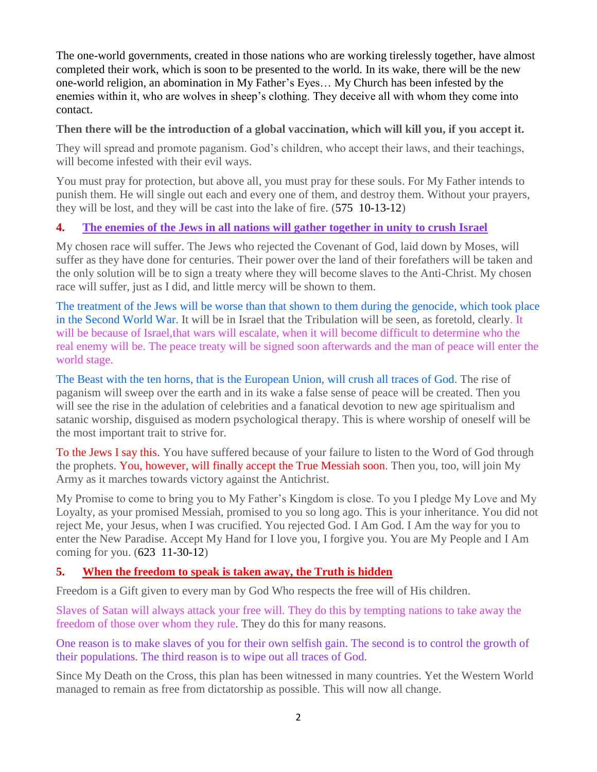The one-world governments, created in those nations who are working tirelessly together, have almost completed their work, which is soon to be presented to the world. In its wake, there will be the new one-world religion, an abomination in My Father's Eyes… My Church has been infested by the enemies within it, who are wolves in sheep's clothing. They deceive all with whom they come into contact.

#### **Then there will be the introduction of a global vaccination, which will kill you, if you accept it.**

They will spread and promote paganism. God's children, who accept their laws, and their teachings, will become infested with their evil ways.

You must pray for protection, but above all, you must pray for these souls. For My Father intends to punish them. He will single out each and every one of them, and destroy them. Without your prayers, they will be lost, and they will be cast into the lake of fire. (575 10-13-12)

### **4. [The enemies of the Jews in all nations will gather together in unity to crush Israel](http://www.thewarningsecondcoming.com/the-enemies-of-the-jews-in-all-nations-will-gather-together-in-unity-to-crush-israel-2/)**

My chosen race will suffer. The Jews who rejected the Covenant of God, laid down by Moses, will suffer as they have done for centuries. Their power over the land of their forefathers will be taken and the only solution will be to sign a treaty where they will become slaves to the Anti-Christ. My chosen race will suffer, just as I did, and little mercy will be shown to them.

The treatment of the Jews will be worse than that shown to them during the genocide, which took place in the Second World War. It will be in Israel that the Tribulation will be seen, as foretold, clearly. It will be because of Israel, that wars will escalate, when it will become difficult to determine who the real enemy will be. The peace treaty will be signed soon afterwards and the man of peace will enter the world stage.

The Beast with the ten horns, that is the European Union, will crush all traces of God. The rise of paganism will sweep over the earth and in its wake a false sense of peace will be created. Then you will see the rise in the adulation of celebrities and a fanatical devotion to new age spiritualism and satanic worship, disguised as modern psychological therapy. This is where worship of oneself will be the most important trait to strive for.

To the Jews I say this. You have suffered because of your failure to listen to the Word of God through the prophets. You, however, will finally accept the True Messiah soon. Then you, too, will join My Army as it marches towards victory against the Antichrist.

My Promise to come to bring you to My Father's Kingdom is close. To you I pledge My Love and My Loyalty, as your promised Messiah, promised to you so long ago. This is your inheritance. You did not reject Me, your Jesus, when I was crucified. You rejected God. I Am God. I Am the way for you to enter the New Paradise. Accept My Hand for I love you, I forgive you. You are My People and I Am coming for you. (623 11-30-12)

#### **5. When the freedom to [speak is taken away, the Truth is hidden](http://www.thewarningsecondcoming.com/when-the-freedom-to-speak-is-taken-away-the-truth-is-hidden/)**

Freedom is a Gift given to every man by God Who respects the free will of His children.

Slaves of Satan will always attack your free will. They do this by tempting nations to take away the freedom of those over whom they rule. They do this for many reasons.

One reason is to make slaves of you for their own selfish gain. The second is to control the growth of their populations. The third reason is to wipe out all traces of God.

Since My Death on the Cross, this plan has been witnessed in many countries. Yet the Western World managed to remain as free from dictatorship as possible. This will now all change.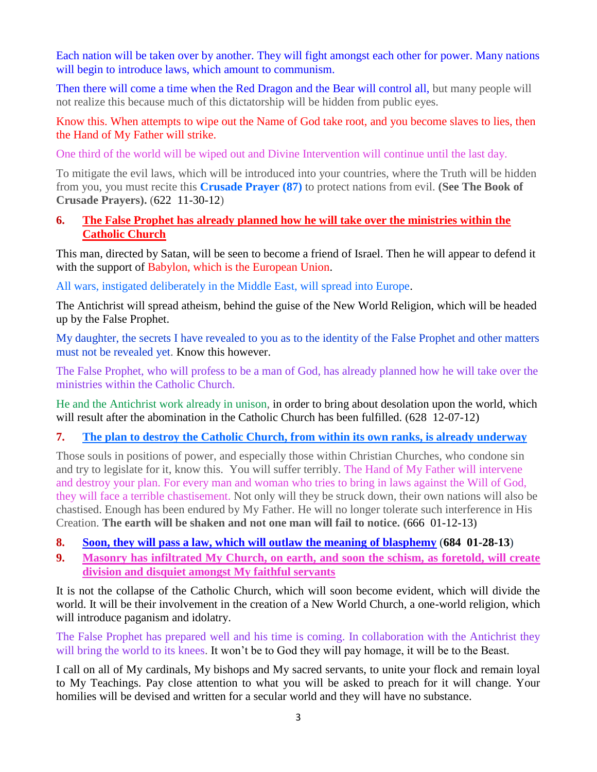Each nation will be taken over by another. They will fight amongst each other for power. Many nations will begin to introduce laws, which amount to communism.

Then there will come a time when the Red Dragon and the Bear will control all, but many people will not realize this because much of this dictatorship will be hidden from public eyes.

Know this. When attempts to wipe out the Name of God take root, and you become slaves to lies, then the Hand of My Father will strike.

One third of the world will be wiped out and Divine Intervention will continue until the last day.

To mitigate the evil laws, which will be introduced into your countries, where the Truth will be hidden from you, you must recite this **Crusade Prayer (87)** to protect nations from evil. **(See The Book of Crusade Prayers).** (622 11-30-12)

#### **6. [The False Prophet has already planned how he will take over the ministries within the](http://www.thewarningsecondcoming.com/the-false-prophet-has-already-planned-how-he-will-take-over-the-ministries-within-the-catholic-church/)  [Catholic Church](http://www.thewarningsecondcoming.com/the-false-prophet-has-already-planned-how-he-will-take-over-the-ministries-within-the-catholic-church/)**

This man, directed by Satan, will be seen to become a friend of Israel. Then he will appear to defend it with the support of Babylon, which is the European Union.

All wars, instigated deliberately in the Middle East, will spread into Europe.

The Antichrist will spread atheism, behind the guise of the New World Religion, which will be headed up by the False Prophet.

My daughter, the secrets I have revealed to you as to the identity of the False Prophet and other matters must not be revealed yet. Know this however.

The False Prophet, who will profess to be a man of God, has already planned how he will take over the ministries within the Catholic Church.

He and the Antichrist work already in unison, in order to bring about desolation upon the world, which will result after the abomination in the Catholic Church has been fulfilled. (628 12-07-12)

#### **7. [The plan to destroy the Catholic Church, from within its own ranks, is already underway](http://www.thewarningsecondcoming.com/the-plan-to-destroy-the-catholic-church-from-within-its-own-ranks-is-already-underway-2/)**

Those souls in positions of power, and especially those within Christian Churches, who condone sin and try to legislate for it, know this. You will suffer terribly. The Hand of My Father will intervene and destroy your plan. For every man and woman who tries to bring in laws against the Will of God, they will face a terrible chastisement. Not only will they be struck down, their own nations will also be chastised. Enough has been endured by My Father. He will no longer tolerate such interference in His Creation. **The earth will be shaken and not one man will fail to notice. (**666 01-12-13**)**

- **8. [Soon, they will pass a law, which will outlaw the meaning of blasphemy](http://www.thewarningsecondcoming.com/soon-they-will-pass-a-law-which-will-outlaw)** (**684 01-28-13**)
- **9. [Masonry has infiltrated My Church, on earth, and soon the schism, as foretold, will create](http://www.thewarningsecondcoming.com/masonry-has-infiltrated-my-church-on-earth-)  [division and disquiet amongst My faithful servants](http://www.thewarningsecondcoming.com/masonry-has-infiltrated-my-church-on-earth-)**

It is not the collapse of the Catholic Church, which will soon become evident, which will divide the world. It will be their involvement in the creation of a New World Church, a one-world religion, which will introduce paganism and idolatry.

The False Prophet has prepared well and his time is coming. In collaboration with the Antichrist they will bring the world to its knees. It won't be to God they will pay homage, it will be to the Beast.

I call on all of My cardinals, My bishops and My sacred servants, to unite your flock and remain loyal to My Teachings. Pay close attention to what you will be asked to preach for it will change. Your homilies will be devised and written for a secular world and they will have no substance.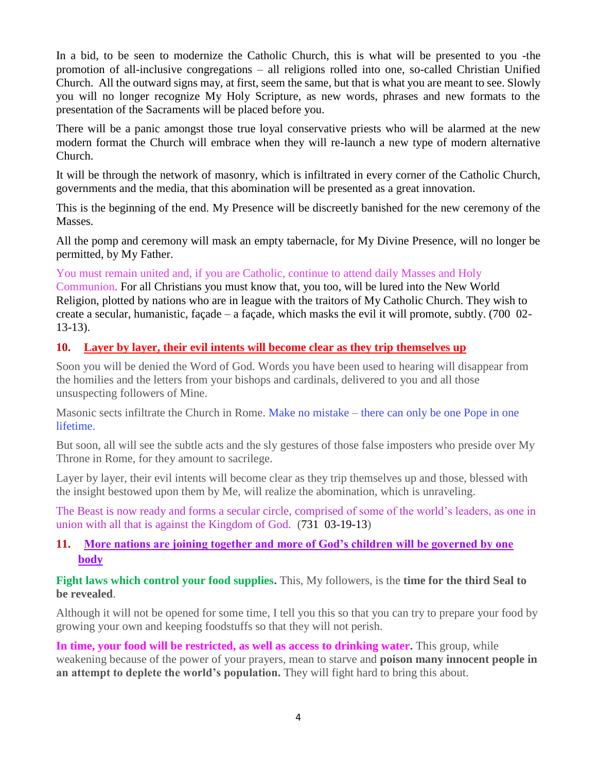In a bid, to be seen to modernize the Catholic Church, this is what will be presented to you -the promotion of all-inclusive congregations – all religions rolled into one, so-called Christian Unified Church. All the outward signs may, at first, seem the same, but that is what you are meant to see. Slowly you will no longer recognize My Holy Scripture, as new words, phrases and new formats to the presentation of the Sacraments will be placed before you.

There will be a panic amongst those true loyal conservative priests who will be alarmed at the new modern format the Church will embrace when they will re-launch a new type of modern alternative Church.

It will be through the network of masonry, which is infiltrated in every corner of the Catholic Church, governments and the media, that this abomination will be presented as a great innovation.

This is the beginning of the end. My Presence will be discreetly banished for the new ceremony of the Masses.

All the pomp and ceremony will mask an empty tabernacle, for My Divine Presence, will no longer be permitted, by My Father.

You must remain united and, if you are Catholic, continue to attend daily Masses and Holy

Communion. For all Christians you must know that, you too, will be lured into the New World Religion, plotted by nations who are in league with the traitors of My Catholic Church. They wish to create a secular, humanistic, façade – a façade, which masks the evil it will promote, subtly. (700 02- 13-13).

#### **10. [Layer by layer, their evil intents will become clear as they trip themselves up](http://www.thewarningsecondcoming.com/layer-by-layer-their-evil-intents-will-become-clear-as-they-trip-themselves-up/)**

Soon you will be denied the Word of God. Words you have been used to hearing will disappear from the homilies and the letters from your bishops and cardinals, delivered to you and all those unsuspecting followers of Mine.

Masonic sects infiltrate the Church in Rome. Make no mistake – there can only be one Pope in one lifetime.

But soon, all will see the subtle acts and the sly gestures of those false imposters who preside over My Throne in Rome, for they amount to sacrilege.

Layer by layer, their evil intents will become clear as they trip themselves up and those, blessed with the insight bestowed upon them by Me, will realize the abomination, which is unraveling.

The Beast is now ready and forms a secular circle, comprised of some of the world's leaders, as one in union with all that is against the Kingdom of God. (731 03-19-13)

# **11. [More nations are joining together and more of God's children will be governed by one](http://www.thewarningsecondcoming.com/more-nations-are-joining-together-and-more-of-gods-children-will-be-governed-by-one-body/)  [body](http://www.thewarningsecondcoming.com/more-nations-are-joining-together-and-more-of-gods-children-will-be-governed-by-one-body/)**

**Fight laws which control your food supplies.** This, My followers, is the **time for the third Seal to be revealed**.

Although it will not be opened for some time, I tell you this so that you can try to prepare your food by growing your own and keeping foodstuffs so that they will not perish.

In time, your food will be restricted, as well as access to drinking water. This group, while weakening because of the power of your prayers, mean to starve and **poison many innocent people in an attempt to deplete the world's population.** They will fight hard to bring this about.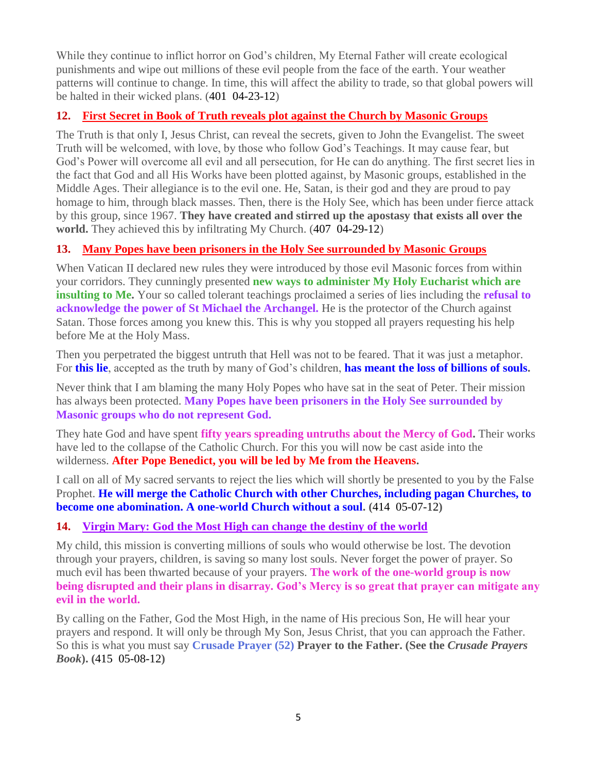While they continue to inflict horror on God's children, My Eternal Father will create ecological punishments and wipe out millions of these evil people from the face of the earth. Your weather patterns will continue to change. In time, this will affect the ability to trade, so that global powers will be halted in their wicked plans. (401 04-23-12)

# **12. First Secret in Book [of Truth reveals plot against the Church by Masonic Groups](http://www.thewarningsecondcoming.com/first-secret-in-book-of-truth-reveals-plot-against-the-church-by-masonic-groups/)**

The Truth is that only I, Jesus Christ, can reveal the secrets, given to John the Evangelist. The sweet Truth will be welcomed, with love, by those who follow God's Teachings. It may cause fear, but God's Power will overcome all evil and all persecution, for He can do anything. The first secret lies in the fact that God and all His Works have been plotted against, by Masonic groups, established in the Middle Ages. Their allegiance is to the evil one. He, Satan, is their god and they are proud to pay homage to him, through black masses. Then, there is the Holy See, which has been under fierce attack by this group, since 1967. **They have created and stirred up the apostasy that exists all over the world.** They achieved this by infiltrating My Church. (407 04-29-12)

# **13. [Many Popes have been prisoners in the Holy See surrounded by Masonic Groups](http://www.thewarningsecondcoming.com/many-popes-have-been-prisoners-in-the-holy-see-surrounded-by-masonic-groups/)**

When Vatican II declared new rules they were introduced by those evil Masonic forces from within your corridors. They cunningly presented **new ways to administer My Holy Eucharist which are insulting to Me.** Your so called tolerant teachings proclaimed a series of lies including the **refusal to acknowledge the power of St Michael the Archangel.** He is the protector of the Church against Satan. Those forces among you knew this. This is why you stopped all prayers requesting his help before Me at the Holy Mass.

Then you perpetrated the biggest untruth that Hell was not to be feared. That it was just a metaphor. For **this lie**, accepted as the truth by many of God's children, **has meant the loss of billions of souls.**

Never think that I am blaming the many Holy Popes who have sat in the seat of Peter. Their mission has always been protected. **Many Popes have been prisoners in the Holy See surrounded by Masonic groups who do not represent God.**

They hate God and have spent **fifty years spreading untruths about the Mercy of God.** Their works have led to the collapse of the Catholic Church. For this you will now be cast aside into the wilderness. **After Pope Benedict, you will be led by Me from the Heavens.**

I call on all of My sacred servants to reject the lies which will shortly be presented to you by the False Prophet. **He will merge the Catholic Church with other Churches, including pagan Churches, to become one abomination. A one-world Church without a soul. (**414 05-07-12**)**

# **14. [Virgin Mary: God the Most High can change the destiny of the world](http://www.thewarningsecondcoming.com/virgin-mary-god-the-most-high-can-change-the-destiny-of-the-world/)**

My child, this mission is converting millions of souls who would otherwise be lost. The devotion through your prayers, children, is saving so many lost souls. Never forget the power of prayer. So much evil has been thwarted because of your prayers. **The work of the one-world group is now being disrupted and their plans in disarray. God's Mercy is so great that prayer can mitigate any evil in the world.**

By calling on the Father, God the Most High, in the name of His precious Son, He will hear your prayers and respond. It will only be through My Son, Jesus Christ, that you can approach the Father. So this is what you must say **Crusade Prayer (52) Prayer to the Father. (See the** *Crusade Prayers Book***). (**415 05-08-12**)**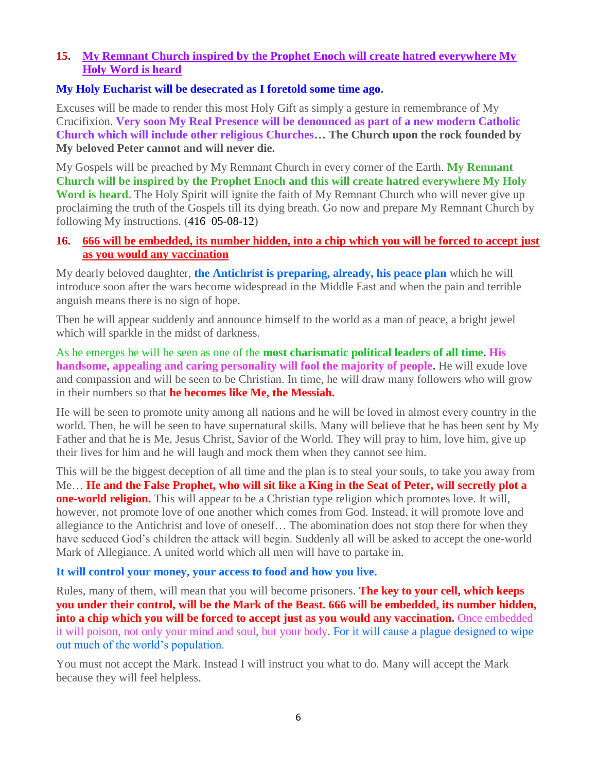#### **15. [My Remnant Church inspired by the Prophet Enoch will create hatred everywhere My](http://www.thewarningsecondcoming.com/my-remnant-church-inspired-by-the-prophet-enoch-will-create-hatred-everywhere-my-holy-word-is-heard/)  [Holy Word is heard](http://www.thewarningsecondcoming.com/my-remnant-church-inspired-by-the-prophet-enoch-will-create-hatred-everywhere-my-holy-word-is-heard/)**

#### **My Holy Eucharist will be desecrated as I foretold some time ago.**

Excuses will be made to render this most Holy Gift as simply a gesture in remembrance of My Crucifixion. **Very soon My Real Presence will be denounced as part of a new modern Catholic Church which will include other religious Churches… The Church upon the rock founded by My beloved Peter cannot and will never die.**

My Gospels will be preached by My Remnant Church in every corner of the Earth. **My Remnant Church will be inspired by the Prophet Enoch and this will create hatred everywhere My Holy Word is heard.** The Holy Spirit will ignite the faith of My Remnant Church who will never give up proclaiming the truth of the Gospels till its dying breath. Go now and prepare My Remnant Church by following My instructions. (416 05-08-12)

#### **16. [666 will be embedded, its number hidden, into a chip which you will be forced to accept just](http://www.thewarningsecondcoming.com/666-will-be-embedded-its-number-hidden-into-a-chip-which-you-will-be-forced-to-accept-just-as-you-would-any-vaccination/)  [as you would any vaccination](http://www.thewarningsecondcoming.com/666-will-be-embedded-its-number-hidden-into-a-chip-which-you-will-be-forced-to-accept-just-as-you-would-any-vaccination/)**

My dearly beloved daughter, **the Antichrist is preparing, already, his peace plan** which he will introduce soon after the wars become widespread in the Middle East and when the pain and terrible anguish means there is no sign of hope.

Then he will appear suddenly and announce himself to the world as a man of peace, a bright jewel which will sparkle in the midst of darkness.

As he emerges he will be seen as one of the **most charismatic political leaders of all time. His handsome, appealing and caring personality will fool the majority of people.** He will exude love and compassion and will be seen to be Christian. In time, he will draw many followers who will grow in their numbers so that **he becomes like Me, the Messiah.**

He will be seen to promote unity among all nations and he will be loved in almost every country in the world. Then, he will be seen to have supernatural skills. Many will believe that he has been sent by My Father and that he is Me, Jesus Christ, Savior of the World. They will pray to him, love him, give up their lives for him and he will laugh and mock them when they cannot see him.

This will be the biggest deception of all time and the plan is to steal your souls, to take you away from Me… **He and the False Prophet, who will sit like a King in the Seat of Peter, will secretly plot a one-world religion.** This will appear to be a Christian type religion which promotes love. It will, however, not promote love of one another which comes from God. Instead, it will promote love and allegiance to the Antichrist and love of oneself… The abomination does not stop there for when they have seduced God's children the attack will begin. Suddenly all will be asked to accept the one-world Mark of Allegiance. A united world which all men will have to partake in.

#### **It will control your money, your access to food and how you live.**

Rules, many of them, will mean that you will become prisoners. **The key to your cell, which keeps you under their control, will be the Mark of the Beast. 666 will be embedded, its number hidden, into a chip which you will be forced to accept just as you would any vaccination.** Once embedded it will poison, not only your mind and soul, but your body. For it will cause a plague designed to wipe out much of the world's population.

You must not accept the Mark. Instead I will instruct you what to do. Many will accept the Mark because they will feel helpless.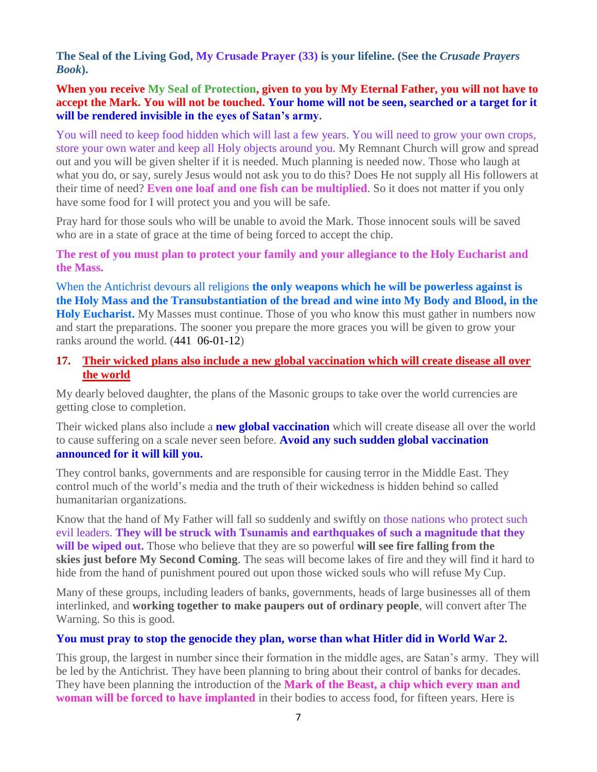**[The Seal of the Living God, My Crusade Prayer \(33\)](http://www.thewarningsecondcoming.com/crusade-prayer-33-rise-now-and-accept-the-seal-of-the-living-god/) is your lifeline. (See the** *Crusade Prayers Book***).**

**When you receive My Seal of Protection, given to you by My Eternal Father, you will not have to accept the Mark. You will not be touched. Your home will not be seen, searched or a target for it will be rendered invisible in the eyes of Satan's army.**

You will need to keep food hidden which will last a few years. You will need to grow your own crops, store your own water and keep all Holy objects around you. My Remnant Church will grow and spread out and you will be given shelter if it is needed. Much planning is needed now. Those who laugh at what you do, or say, surely Jesus would not ask you to do this? Does He not supply all His followers at their time of need? **Even one loaf and one fish can be multiplied**. So it does not matter if you only have some food for I will protect you and you will be safe.

Pray hard for those souls who will be unable to avoid the Mark. Those innocent souls will be saved who are in a state of grace at the time of being forced to accept the chip.

**The rest of you must plan to protect your family and your allegiance to the Holy Eucharist and the Mass.**

When the Antichrist devours all religions **the only weapons which he will be powerless against is the Holy Mass and the Transubstantiation of the bread and wine into My Body and Blood, in the Holy Eucharist.** My Masses must continue. Those of you who know this must gather in numbers now and start the preparations. The sooner you prepare the more graces you will be given to grow your ranks around the world. (441 06-01-12)

#### **17. [Their wicked plans also include a new global vaccination which will create disease all over](http://www.thewarningsecondcoming.com/their-wicked-plans-also-include-a-new-global-vaccination-which-will-create-disease-all-over-the-world/)  [the world](http://www.thewarningsecondcoming.com/their-wicked-plans-also-include-a-new-global-vaccination-which-will-create-disease-all-over-the-world/)**

My dearly beloved daughter, the plans of the Masonic groups to take over the world currencies are getting close to completion.

Their wicked plans also include a **new global vaccination** which will create disease all over the world to cause suffering on a scale never seen before. **Avoid any such sudden global vaccination announced for it will kill you.**

They control banks, governments and are responsible for causing terror in the Middle East. They control much of the world's media and the truth of their wickedness is hidden behind so called humanitarian organizations.

Know that the hand of My Father will fall so suddenly and swiftly on those nations who protect such evil leaders. **They will be struck with Tsunamis and earthquakes of such a magnitude that they will be wiped out.** Those who believe that they are so powerful **will see fire falling from the skies just before My Second Coming**. The seas will become lakes of fire and they will find it hard to hide from the hand of punishment poured out upon those wicked souls who will refuse My Cup.

Many of these groups, including leaders of banks, governments, heads of large businesses all of them interlinked, and **working together to make paupers out of ordinary people**, will convert after The Warning. So this is good.

#### **You must pray to stop the genocide they plan, worse than what Hitler did in World War 2.**

This group, the largest in number since their formation in the middle ages, are Satan's army. They will be led by the Antichrist. They have been planning to bring about their control of banks for decades. They have been planning the introduction of the **Mark of the Beast, a chip which every man and woman will be forced to have implanted** in their bodies to access food, for fifteen years. Here is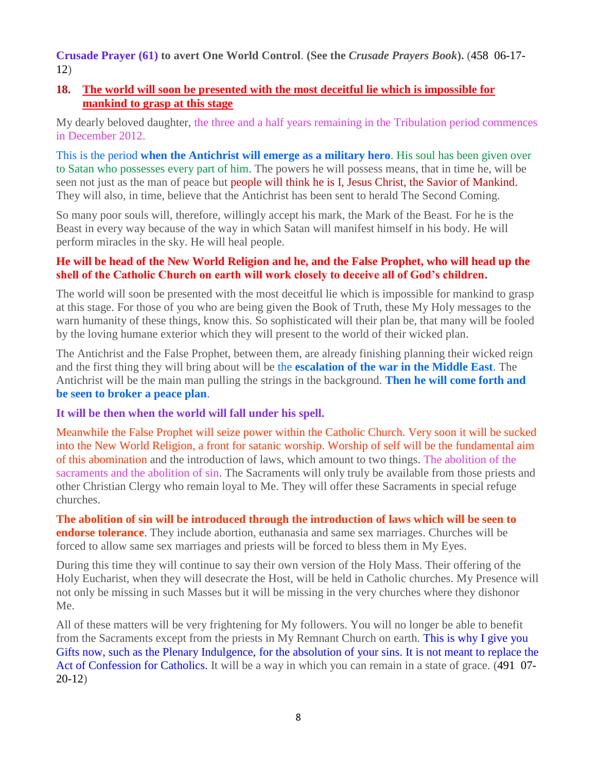**Crusade Prayer (61) to avert One World Control**. **(See the** *Crusade Prayers Book***).** (458 06-17- 12)

#### **18. [The world will soon be presented with the most deceitful lie which is impossible for](http://www.thewarningsecondcoming.com/the-world-will-soon-be-presented-with-the-most-deceitful-lie-which-is-impossible-for-mankind-to-grasp-at-this-stage/)  [mankind to grasp at this stage](http://www.thewarningsecondcoming.com/the-world-will-soon-be-presented-with-the-most-deceitful-lie-which-is-impossible-for-mankind-to-grasp-at-this-stage/)**

My dearly beloved daughter, the three and a half years remaining in the Tribulation period commences in December 2012.

This is the period **when the Antichrist will emerge as a military hero**. His soul has been given over to Satan who possesses every part of him. The powers he will possess means, that in time he, will be seen not just as the man of peace but people will think he is I, Jesus Christ, the Savior of Mankind. They will also, in time, believe that the Antichrist has been sent to herald The Second Coming.

So many poor souls will, therefore, willingly accept his mark, the Mark of the Beast. For he is the Beast in every way because of the way in which Satan will manifest himself in his body. He will perform miracles in the sky. He will heal people.

#### **He will be head of the New World Religion and he, and the False Prophet, who will head up the shell of the Catholic Church on earth will work closely to deceive all of God's children.**

The world will soon be presented with the most deceitful lie which is impossible for mankind to grasp at this stage. For those of you who are being given the Book of Truth, these My Holy messages to the warn humanity of these things, know this. So sophisticated will their plan be, that many will be fooled by the loving humane exterior which they will present to the world of their wicked plan.

The Antichrist and the False Prophet, between them, are already finishing planning their wicked reign and the first thing they will bring about will be the **escalation of the war in the Middle East**. The Antichrist will be the main man pulling the strings in the background. **Then he will come forth and be seen to broker a peace plan**.

#### **It will be then when the world will fall under his spell.**

Meanwhile the False Prophet will seize power within the Catholic Church. Very soon it will be sucked into the New World Religion, a front for satanic worship. Worship of self will be the fundamental aim of this abomination and the introduction of laws, which amount to two things. The abolition of the sacraments and the abolition of sin. The Sacraments will only truly be available from those priests and other Christian Clergy who remain loyal to Me. They will offer these Sacraments in special refuge churches.

**The abolition of sin will be introduced through the introduction of laws which will be seen to endorse tolerance**. They include abortion, euthanasia and same sex marriages. Churches will be forced to allow same sex marriages and priests will be forced to bless them in My Eyes.

During this time they will continue to say their own version of the Holy Mass. Their offering of the Holy Eucharist, when they will desecrate the Host, will be held in Catholic churches. My Presence will not only be missing in such Masses but it will be missing in the very churches where they dishonor Me.

All of these matters will be very frightening for My followers. You will no longer be able to benefit from the Sacraments except from the priests in My Remnant Church on earth. This is why I give you Gifts now, such as the Plenary Indulgence, for the absolution of your sins. It is not meant to replace the Act of Confession for Catholics. It will be a way in which you can remain in a state of grace. (491 07- 20-12)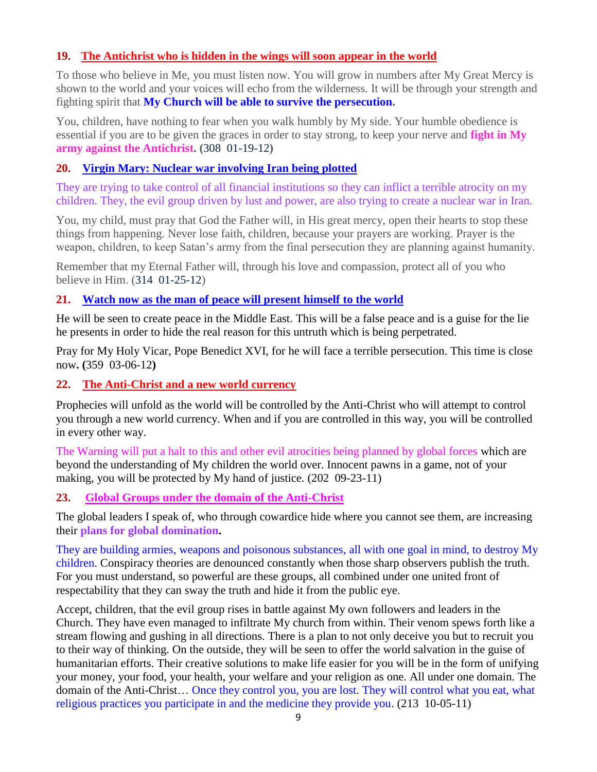### **19. The [Antichrist who is hidden in the wings will soon appear in the world](http://www.thewarningsecondcoming.com/anti-christ-who-is-hidden-in-the-wings-will-soon-appear-in-the-world/)**

To those who believe in Me, you must listen now. You will grow in numbers after My Great Mercy is shown to the world and your voices will echo from the wilderness. It will be through your strength and fighting spirit that **My Church will be able to survive the persecution.**

You, children, have nothing to fear when you walk humbly by My side. Your humble obedience is essential if you are to be given the graces in order to stay strong, to keep your nerve and **fight in My army against the Antichrist. (**308 01-19-12**)**

### **20. [Virgin Mary: Nuclear war involving Iran being plotted](http://www.thewarningsecondcoming.com/virgin-mary-nuclear-war-involving-iran-being-plotted/)**

They are trying to take control of all financial institutions so they can inflict a terrible atrocity on my children. They, the evil group driven by lust and power, are also trying to create a nuclear war in Iran.

You, my child, must pray that God the Father will, in His great mercy, open their hearts to stop these things from happening. Never lose faith, children, because your prayers are working. Prayer is the weapon, children, to keep Satan's army from the final persecution they are planning against humanity.

Remember that my Eternal Father will, through his love and compassion, protect all of you who believe in Him. (314 01-25-12)

#### **21. [Watch now as the man of peace will present himself to the world](http://www.thewarningsecondcoming.com/watch-now-as-the-man-of-peace-will-present-himself-to-the-world/)**

He will be seen to create peace in the Middle East. This will be a false peace and is a guise for the lie he presents in order to hide the real reason for this untruth which is being perpetrated.

Pray for My Holy Vicar, Pope Benedict XVI, for he will face a terrible persecution. This time is close now**. (**359 03-06-12**)**

#### **22. The Anti-Christ and a new world currency**

Prophecies will unfold as the world will be controlled by the Anti-Christ who will attempt to control you through a new world currency. When and if you are controlled in this way, you will be controlled in every other way.

The Warning will put a halt to this and other evil atrocities being planned by global forces which are beyond the understanding of My children the world over. Innocent pawns in a game, not of your making, you will be protected by My hand of justice. (202 09-23-11)

#### **23. [Global Groups under the domain of the Anti-Christ](http://www.thewarningsecondcoming.com/global-groups-under-the-domain-of-the-anti-christ/)**

The global leaders I speak of, who through cowardice hide where you cannot see them, are increasing their **plans for global domination.**

They are building armies, weapons and poisonous substances, all with one goal in mind, to destroy My children. Conspiracy theories are denounced constantly when those sharp observers publish the truth. For you must understand, so powerful are these groups, all combined under one united front of respectability that they can sway the truth and hide it from the public eye.

Accept, children, that the evil group rises in battle against My own followers and leaders in the Church. They have even managed to infiltrate My church from within. Their venom spews forth like a stream flowing and gushing in all directions. There is a plan to not only deceive you but to recruit you to their way of thinking. On the outside, they will be seen to offer the world salvation in the guise of humanitarian efforts. Their creative solutions to make life easier for you will be in the form of unifying your money, your food, your health, your welfare and your religion as one. All under one domain. The domain of the Anti-Christ… Once they control you, you are lost. They will control what you eat, what religious practices you participate in and the medicine they provide you. (213 10-05-11)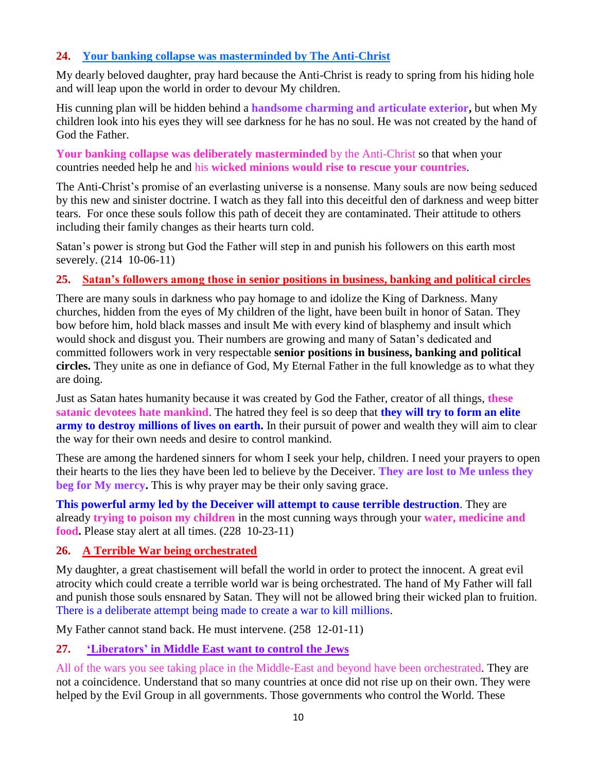### **24. [Your banking collapse was masterminded by The Anti-Christ](http://www.thewarningsecondcoming.com/your-banking-collapse-was-masterminded-by-the-anti-christ/)**

My dearly beloved daughter, pray hard because the Anti-Christ is ready to spring from his hiding hole and will leap upon the world in order to devour My children.

His cunning plan will be hidden behind a **handsome charming and articulate exterior,** but when My children look into his eyes they will see darkness for he has no soul. He was not created by the hand of God the Father.

**Your banking collapse was deliberately masterminded** by the Anti-Christ so that when your countries needed help he and his **wicked minions would rise to rescue your countries**.

The Anti-Christ's promise of an everlasting universe is a nonsense. Many souls are now being seduced by this new and sinister doctrine. I watch as they fall into this deceitful den of darkness and weep bitter tears. For once these souls follow this path of deceit they are contaminated. Their attitude to others including their family changes as their hearts turn cold.

Satan's power is strong but God the Father will step in and punish his followers on this earth most severely. (214 10-06-11)

#### **25. Satan's followers among those in senior positions in business, banking and political circles**

There are many souls in darkness who pay homage to and idolize the King of Darkness. Many churches, hidden from the eyes of My children of the light, have been built in honor of Satan. They bow before him, hold black masses and insult Me with every kind of blasphemy and insult which would shock and disgust you. Their numbers are growing and many of Satan's dedicated and committed followers work in very respectable **senior positions in business, banking and political circles.** They unite as one in defiance of God, My Eternal Father in the full knowledge as to what they are doing.

Just as Satan hates humanity because it was created by God the Father, creator of all things, **these satanic devotees hate mankind**. The hatred they feel is so deep that **they will try to form an elite army to destroy millions of lives on earth.** In their pursuit of power and wealth they will aim to clear the way for their own needs and desire to control mankind.

These are among the hardened sinners for whom I seek your help, children. I need your prayers to open their hearts to the lies they have been led to believe by the Deceiver. **They are lost to Me unless they beg for My mercy.** This is why prayer may be their only saving grace.

**This powerful army led by the Deceiver will attempt to cause terrible destruction**. They are already **trying to poison my children** in the most cunning ways through your **water, medicine and food.** Please stay alert at all times. (228 10-23-11)

# **26. A [Terrible War being orchestrated](http://www.thewarningsecondcoming.com/terrible-war-being-orchestrated/)**

My daughter, a great chastisement will befall the world in order to protect the innocent. A great evil atrocity which could create a terrible world war is being orchestrated. The hand of My Father will fall and punish those souls ensnared by Satan. They will not be allowed bring their wicked plan to fruition. There is a deliberate attempt being made to create a war to kill millions.

My Father cannot stand back. He must intervene. (258 12-01-11)

# **27. ['Liberators' in Middle East want to control the Jews](http://www.thewarningsecondcoming.com/liberators-in-middle-east-want-to-control-the-jews/)**

All of the wars you see taking place in the Middle-East and beyond have been orchestrated. They are not a coincidence. Understand that so many countries at once did not rise up on their own. They were helped by the Evil Group in all governments. Those governments who control the World. These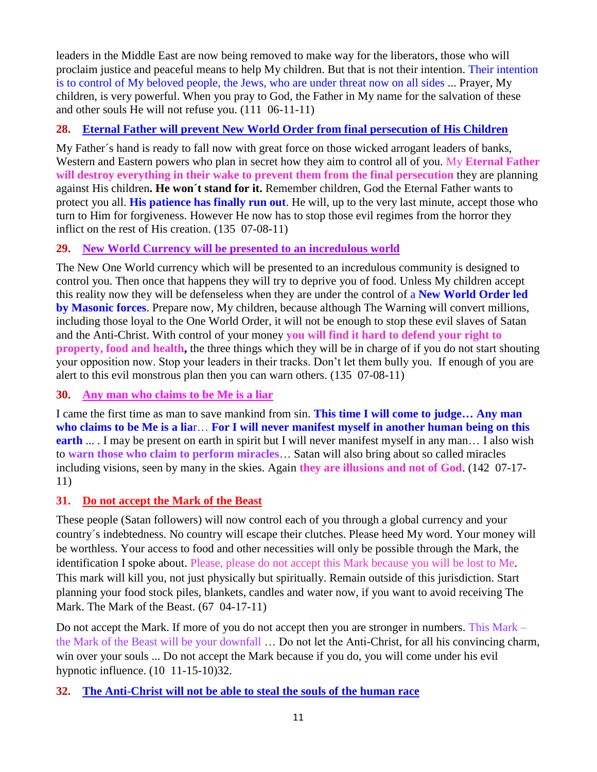leaders in the Middle East are now being removed to make way for the liberators, those who will proclaim justice and peaceful means to help My children. But that is not their intention. Their intention is to control of My beloved people, the Jews, who are under threat now on all sides ... Prayer, My children, is very powerful. When you pray to God, the Father in My name for the salvation of these and other souls He will not refuse you. (111 06-11-11)

# **28. [Eternal Father will prevent New World Order from final persecution of His Children](http://www.thewarningsecondcoming.com/eternal-father-will-prevent-new-world-order-from-final-persecution-of-his-children/)**

My Father´s hand is ready to fall now with great force on those wicked arrogant leaders of banks, Western and Eastern powers who plan in secret how they aim to control all of you. My **Eternal Father will destroy everything in their wake to prevent them from the final persecution** they are planning against His children**. He won´t stand for it.** Remember children, God the Eternal Father wants to protect you all. **His patience has finally run out**. He will, up to the very last minute, accept those who turn to Him for forgiveness. However He now has to stop those evil regimes from the horror they inflict on the rest of His creation. (135 07-08-11)

# **29. New World Currency will be presented to an incredulous world**

The New One World currency which will be presented to an incredulous community is designed to control you. Then once that happens they will try to deprive you of food. Unless My children accept this reality now they will be defenseless when they are under the control of a **New World Order led by Masonic forces**. Prepare now, My children, because although The Warning will convert millions, including those loyal to the One World Order, it will not be enough to stop these evil slaves of Satan and the Anti-Christ. With control of your money **you will find it hard to defend your right to property, food and health,** the three things which they will be in charge of if you do not start shouting your opposition now. Stop your leaders in their tracks. Don't let them bully you. If enough of you are alert to this evil monstrous plan then you can warn others. (135 07-08-11)

# **30. [Any man who claims to be Me is a liar](http://www.thewarningsecondcoming.com/any-man-who-claims-to-be-me-is-a-liar-for-i-will-never-manifest-myself-in-man/)**

I came the first time as man to save mankind from sin. **This time I will come to judge… Any man who claims to be Me is a lia**r… **For I will never manifest myself in another human being on this earth** ... I may be present on earth in spirit but I will never manifest myself in any man... I also wish to **warn those who claim to perform miracles**… Satan will also bring about so called miracles including visions, seen by many in the skies. Again **they are illusions and not of God**. (142 07-17- 11)

# **31. Do not accept the Mark of the Beast**

These people (Satan followers) will now control each of you through a global currency and your country´s indebtedness. No country will escape their clutches. Please heed My word. Your money will be worthless. Your access to food and other necessities will only be possible through the Mark, the identification I spoke about. Please, please do not accept this Mark because you will be lost to Me. This mark will kill you, not just physically but spiritually. Remain outside of this jurisdiction. Start planning your food stock piles, blankets, candles and water now, if you want to avoid receiving The Mark. The Mark of the Beast. (67 04-17-11)

Do not accept the Mark. If more of you do not accept then you are stronger in numbers. This Mark – the Mark of the Beast will be your downfall … Do not let the Anti-Christ, for all his convincing charm, win over your souls ... Do not accept the Mark because if you do, you will come under his evil hypnotic influence. (10 11-15-10)32.

# **32. The Anti-Christ will not be able to steal the souls of the human race**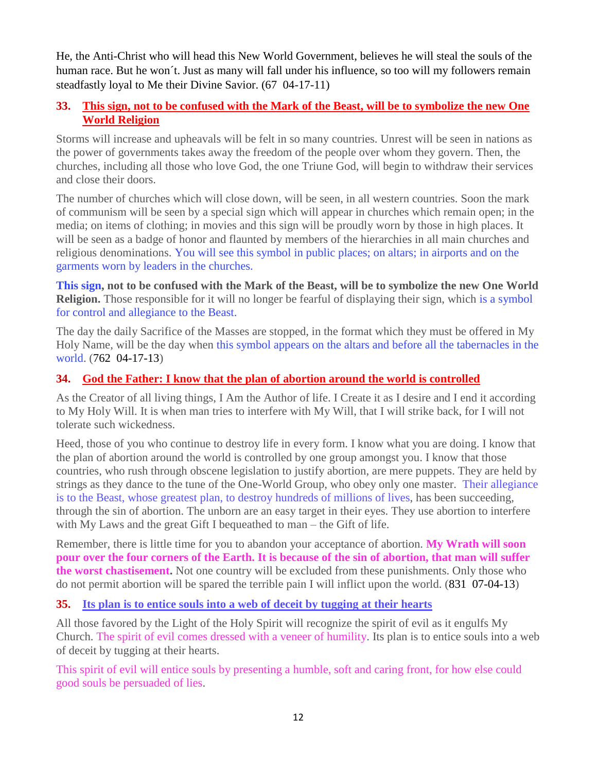He, the Anti-Christ who will head this New World Government, believes he will steal the souls of the human race. But he won´t. Just as many will fall under his influence, so too will my followers remain steadfastly loyal to Me their Divine Savior. (67 04-17-11)

### **33. [This sign, not to be confused with the Mark of the Beast, will be to symbolize the new One](http://www.thewarningsecondcoming.com/this-sign-not-to-be-confused-with-the-mark-of-the-beast-will-be-to-symbolise-the-new-one-world-religion/)  [World Religion](http://www.thewarningsecondcoming.com/this-sign-not-to-be-confused-with-the-mark-of-the-beast-will-be-to-symbolise-the-new-one-world-religion/)**

Storms will increase and upheavals will be felt in so many countries. Unrest will be seen in nations as the power of governments takes away the freedom of the people over whom they govern. Then, the churches, including all those who love God, the one Triune God, will begin to withdraw their services and close their doors.

The number of churches which will close down, will be seen, in all western countries. Soon the mark of communism will be seen by a special sign which will appear in churches which remain open; in the media; on items of clothing; in movies and this sign will be proudly worn by those in high places. It will be seen as a badge of honor and flaunted by members of the hierarchies in all main churches and religious denominations. You will see this symbol in public places; on altars; in airports and on the garments worn by leaders in the churches.

**This sign, not to be confused with the Mark of the Beast, will be to symbolize the new One World Religion.** Those responsible for it will no longer be fearful of displaying their sign, which is a symbol for control and allegiance to the Beast.

The day the daily Sacrifice of the Masses are stopped, in the format which they must be offered in My Holy Name, will be the day when this symbol appears on the altars and before all the tabernacles in the world. (762 04-17-13)

# **34. [God the Father: I know that the plan of abortion around the world is controlled](http://www.thewarningsecondcoming.com/god-the-father-i-know-that-the-plan-of-abortion-around-the-world-is-controlled/)**

As the Creator of all living things, I Am the Author of life. I Create it as I desire and I end it according to My Holy Will. It is when man tries to interfere with My Will, that I will strike back, for I will not tolerate such wickedness.

Heed, those of you who continue to destroy life in every form. I know what you are doing. I know that the plan of abortion around the world is controlled by one group amongst you. I know that those countries, who rush through obscene legislation to justify abortion, are mere puppets. They are held by strings as they dance to the tune of the One-World Group, who obey only one master. Their allegiance is to the Beast, whose greatest plan, to destroy hundreds of millions of lives, has been succeeding, through the sin of abortion. The unborn are an easy target in their eyes. They use abortion to interfere with My Laws and the great Gift I bequeathed to man – the Gift of life.

Remember, there is little time for you to abandon your acceptance of abortion. **My Wrath will soon pour over the four corners of the Earth. It is because of the sin of abortion, that man will suffer the worst chastisement.** Not one country will be excluded from these punishments. Only those who do not permit abortion will be spared the terrible pain I will inflict upon the world. (831 07-04-13)

# **35. [Its plan is to entice souls into a web of deceit by tugging at their hearts](http://www.thewarningsecondcoming.com/its-plan-is-to-entice-souls-into-a-web-of-deceit-by-tugging-at-their-hearts/)**

All those favored by the Light of the Holy Spirit will recognize the spirit of evil as it engulfs My Church. The spirit of evil comes dressed with a veneer of humility. Its plan is to entice souls into a web of deceit by tugging at their hearts.

This spirit of evil will entice souls by presenting a humble, soft and caring front, for how else could good souls be persuaded of lies.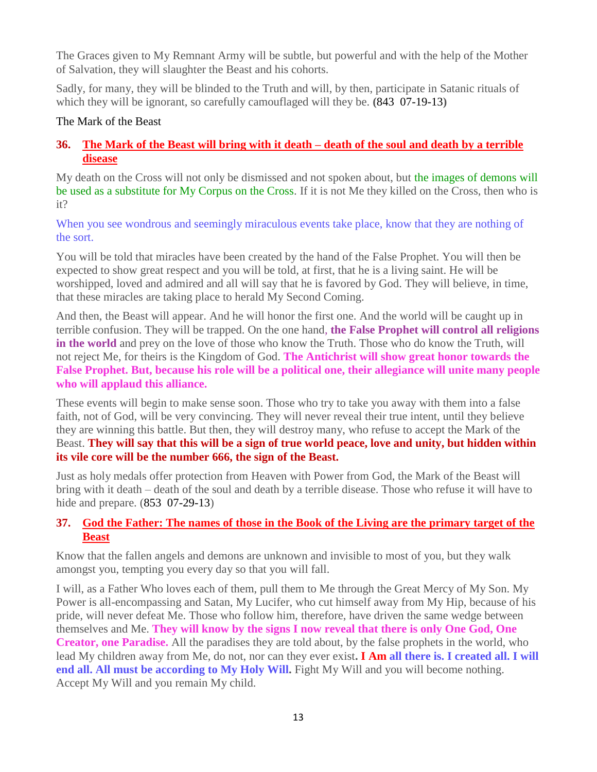The Graces given to My Remnant Army will be subtle, but powerful and with the help of the Mother of Salvation, they will slaughter the Beast and his cohorts.

Sadly, for many, they will be blinded to the Truth and will, by then, participate in Satanic rituals of which they will be ignorant, so carefully camouflaged will they be. **(**843 07-19-13**)**

#### The Mark of the Beast

# **36. [The Mark of the Beast will bring with it death –](http://www.thewarningsecondcoming.com/the-mark-of-the-beast-will-bring-with-it-death-death-of-the-soul-and-death-by-a-terrible-disease/) death of the soul and death by a terrible [disease](http://www.thewarningsecondcoming.com/the-mark-of-the-beast-will-bring-with-it-death-death-of-the-soul-and-death-by-a-terrible-disease/)**

My death on the Cross will not only be dismissed and not spoken about, but the images of demons will be used as a substitute for My Corpus on the Cross. If it is not Me they killed on the Cross, then who is it?

When you see wondrous and seemingly miraculous events take place, know that they are nothing of the sort.

You will be told that miracles have been created by the hand of the False Prophet. You will then be expected to show great respect and you will be told, at first, that he is a living saint. He will be worshipped, loved and admired and all will say that he is favored by God. They will believe, in time, that these miracles are taking place to herald My Second Coming.

And then, the Beast will appear. And he will honor the first one. And the world will be caught up in terrible confusion. They will be trapped. On the one hand, **the False Prophet will control all religions in the world** and prey on the love of those who know the Truth. Those who do know the Truth, will not reject Me, for theirs is the Kingdom of God. **The Antichrist will show great honor towards the False Prophet. But, because his role will be a political one, their allegiance will unite many people who will applaud this alliance.**

These events will begin to make sense soon. Those who try to take you away with them into a false faith, not of God, will be very convincing. They will never reveal their true intent, until they believe they are winning this battle. But then, they will destroy many, who refuse to accept the Mark of the Beast. **They will say that this will be a sign of true world peace, love and unity, but hidden within its vile core will be the number 666, the sign of the Beast.**

Just as holy medals offer protection from Heaven with Power from God, the Mark of the Beast will bring with it death – death of the soul and death by a terrible disease. Those who refuse it will have to hide and prepare. (853 07-29-13)

# **37. [God the Father: The names of those in the Book of the Living are the primary target of the](http://www.thewarningsecondcoming.com/god-the-father-the-names-of-those-in-the-book-of-the-living-are-the-primary-target-of-the-beast/)  [Beast](http://www.thewarningsecondcoming.com/god-the-father-the-names-of-those-in-the-book-of-the-living-are-the-primary-target-of-the-beast/)**

Know that the fallen angels and demons are unknown and invisible to most of you, but they walk amongst you, tempting you every day so that you will fall.

I will, as a Father Who loves each of them, pull them to Me through the Great Mercy of My Son. My Power is all-encompassing and Satan, My Lucifer, who cut himself away from My Hip, because of his pride, will never defeat Me. Those who follow him, therefore, have driven the same wedge between themselves and Me. **They will know by the signs I now reveal that there is only One God, One Creator, one Paradise.** All the paradises they are told about, by the false prophets in the world, who lead My children away from Me, do not, nor can they ever exist**. I Am all there is. I created all. I will end all. All must be according to My Holy Will.** Fight My Will and you will become nothing. Accept My Will and you remain My child.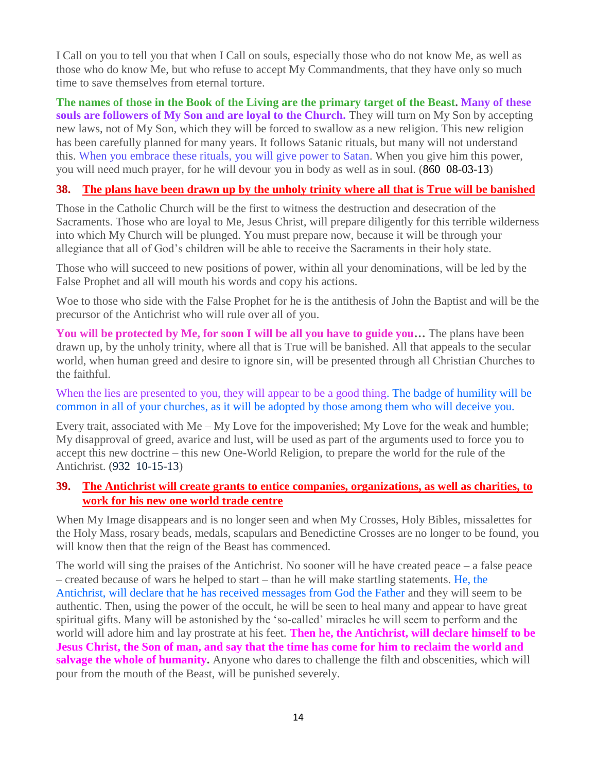I Call on you to tell you that when I Call on souls, especially those who do not know Me, as well as those who do know Me, but who refuse to accept My Commandments, that they have only so much time to save themselves from eternal torture.

**The names of those in the Book of the Living are the primary target of the Beast. Many of these souls are followers of My Son and are loyal to the Church.** They will turn on My Son by accepting new laws, not of My Son, which they will be forced to swallow as a new religion. This new religion has been carefully planned for many years. It follows Satanic rituals, but many will not understand this. When you embrace these rituals, you will give power to Satan. When you give him this power, you will need much prayer, for he will devour you in body as well as in soul. (860 08-03-13)

#### **38. [The plans have been drawn up by the unholy trinity where all that is True will be banished](http://www.thewarningsecondcoming.com/the-plans-have-been-drawn-up-by-the-unholy-trinity-where-all-that-is-true-will-be-banished/)**

Those in the Catholic Church will be the first to witness the destruction and desecration of the Sacraments. Those who are loyal to Me, Jesus Christ, will prepare diligently for this terrible wilderness into which My Church will be plunged. You must prepare now, because it will be through your allegiance that all of God's children will be able to receive the Sacraments in their holy state.

Those who will succeed to new positions of power, within all your denominations, will be led by the False Prophet and all will mouth his words and copy his actions.

Woe to those who side with the False Prophet for he is the antithesis of John the Baptist and will be the precursor of the Antichrist who will rule over all of you.

**You will be protected by Me, for soon I will be all you have to guide you…** The plans have been drawn up, by the unholy trinity, where all that is True will be banished. All that appeals to the secular world, when human greed and desire to ignore sin, will be presented through all Christian Churches to the faithful.

When the lies are presented to you, they will appear to be a good thing. The badge of humility will be common in all of your churches, as it will be adopted by those among them who will deceive you.

Every trait, associated with Me – My Love for the impoverished; My Love for the weak and humble; My disapproval of greed, avarice and lust, will be used as part of the arguments used to force you to accept this new doctrine – this new One-World Religion, to prepare the world for the rule of the Antichrist. (932 10-15-13)

### **39. [The Antichrist will create grants to entice companies, organizations, as well as charities, to](http://www.thewarningsecondcoming.com/the-antichrist-will-create-grants-to-entice-companies-organisations-as-well-as-charities-to-work-for-his-new-one-world-trade-centre/)  [work for his new one world trade](http://www.thewarningsecondcoming.com/the-antichrist-will-create-grants-to-entice-companies-organisations-as-well-as-charities-to-work-for-his-new-one-world-trade-centre/) centre**

When My Image disappears and is no longer seen and when My Crosses, Holy Bibles, missalettes for the Holy Mass, rosary beads, medals, scapulars and Benedictine Crosses are no longer to be found, you will know then that the reign of the Beast has commenced.

The world will sing the praises of the Antichrist. No sooner will he have created peace – a false peace – created because of wars he helped to start – than he will make startling statements. He, the Antichrist, will declare that he has received messages from God the Father and they will seem to be authentic. Then, using the power of the occult, he will be seen to heal many and appear to have great spiritual gifts. Many will be astonished by the 'so-called' miracles he will seem to perform and the world will adore him and lay prostrate at his feet. **Then he, the Antichrist, will declare himself to be Jesus Christ, the Son of man, and say that the time has come for him to reclaim the world and salvage the whole of humanity.** Anyone who dares to challenge the filth and obscenities, which will pour from the mouth of the Beast, will be punished severely.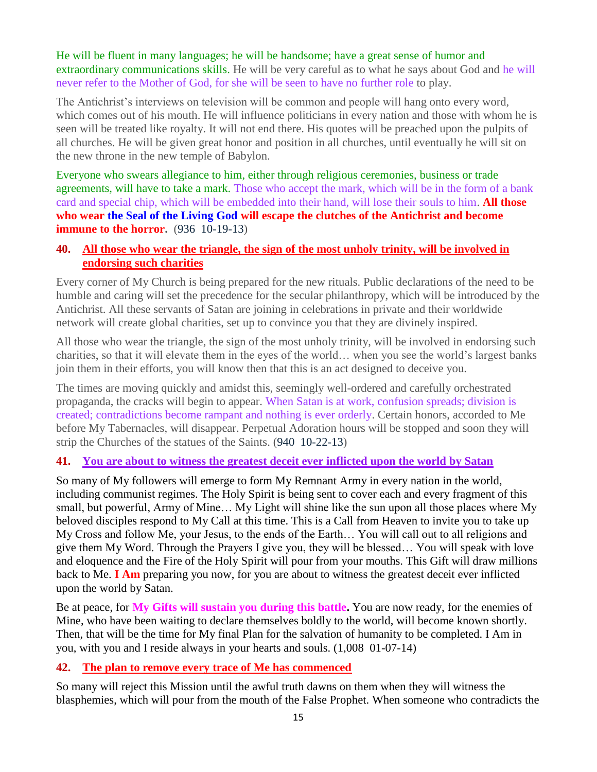He will be fluent in many languages; he will be handsome; have a great sense of humor and extraordinary communications skills. He will be very careful as to what he says about God and he will never refer to the Mother of God, for she will be seen to have no further role to play.

The Antichrist's interviews on television will be common and people will hang onto every word, which comes out of his mouth. He will influence politicians in every nation and those with whom he is seen will be treated like royalty. It will not end there. His quotes will be preached upon the pulpits of all churches. He will be given great honor and position in all churches, until eventually he will sit on the new throne in the new temple of Babylon.

Everyone who swears allegiance to him, either through religious ceremonies, business or trade agreements, will have to take a mark. Those who accept the mark, which will be in the form of a bank card and special chip, which will be embedded into their hand, will lose their souls to him. **All those who wear the Seal of the Living God will escape the clutches of the Antichrist and become immune to the horror.** (936 10-19-13)

#### **40. [All those who wear the triangle, the sign of the most unholy trinity, will be involved in](http://www.thewarningsecondcoming.com/all-those-who-wear-the-triangle-the-sign-of-the-most-unholy-trinity-will-be-involved-in-endorsing-such-charities-2/)  [endorsing such charities](http://www.thewarningsecondcoming.com/all-those-who-wear-the-triangle-the-sign-of-the-most-unholy-trinity-will-be-involved-in-endorsing-such-charities-2/)**

Every corner of My Church is being prepared for the new rituals. Public declarations of the need to be humble and caring will set the precedence for the secular philanthropy, which will be introduced by the Antichrist. All these servants of Satan are joining in celebrations in private and their worldwide network will create global charities, set up to convince you that they are divinely inspired.

All those who wear the triangle, the sign of the most unholy trinity, will be involved in endorsing such charities, so that it will elevate them in the eyes of the world… when you see the world's largest banks join them in their efforts, you will know then that this is an act designed to deceive you.

The times are moving quickly and amidst this, seemingly well-ordered and carefully orchestrated propaganda, the cracks will begin to appear. When Satan is at work, confusion spreads; division is created; contradictions become rampant and nothing is ever orderly. Certain honors, accorded to Me before My Tabernacles, will disappear. Perpetual Adoration hours will be stopped and soon they will strip the Churches of the statues of the Saints. (940 10-22-13)

#### **41. [You are about to witness the greatest deceit ever inflicted upon the world by Satan](http://www.thewarningsecondcoming.com/you-are-about-to-witness-the-greatest-deceit-ever-inflicted-upon-the-world-by-satan/)**

So many of My followers will emerge to form My Remnant Army in every nation in the world, including communist regimes. The Holy Spirit is being sent to cover each and every fragment of this small, but powerful, Army of Mine… My Light will shine like the sun upon all those places where My beloved disciples respond to My Call at this time. This is a Call from Heaven to invite you to take up My Cross and follow Me, your Jesus, to the ends of the Earth… You will call out to all religions and give them My Word. Through the Prayers I give you, they will be blessed… You will speak with love and eloquence and the Fire of the Holy Spirit will pour from your mouths. This Gift will draw millions back to Me. **I Am** preparing you now, for you are about to witness the greatest deceit ever inflicted upon the world by Satan.

Be at peace, for **My Gifts will sustain you during this battle.** You are now ready, for the enemies of Mine, who have been waiting to declare themselves boldly to the world, will become known shortly. Then, that will be the time for My final Plan for the salvation of humanity to be completed. I Am in you, with you and I reside always in your hearts and souls. (1,008 01-07-14)

#### **42. [The plan to remove every trace of Me has commenced](http://www.thewarningsecondcoming.com/the-plan-to-remove-every-trace-of-me-has-commenced/)**

So many will reject this Mission until the awful truth dawns on them when they will witness the blasphemies, which will pour from the mouth of the False Prophet. When someone who contradicts the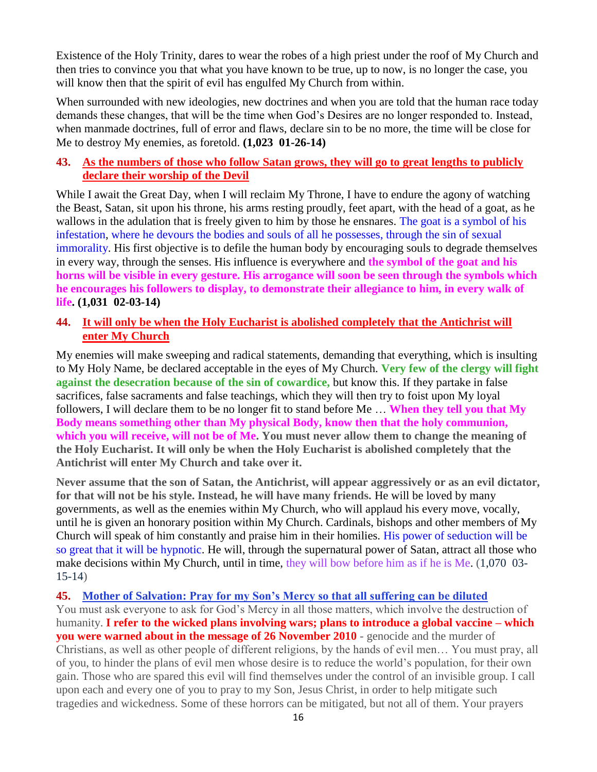Existence of the Holy Trinity, dares to wear the robes of a high priest under the roof of My Church and then tries to convince you that what you have known to be true, up to now, is no longer the case, you will know then that the spirit of evil has engulfed My Church from within.

When surrounded with new ideologies, new doctrines and when you are told that the human race today demands these changes, that will be the time when God's Desires are no longer responded to. Instead, when manmade doctrines, full of error and flaws, declare sin to be no more, the time will be close for Me to destroy My enemies, as foretold. **(1,023 01-26-14)**

#### **43. [As the numbers of those who follow Satan grows, they will go to great lengths to publicly](http://www.thewarningsecondcoming.com/as-the-numbers-of-those-who-follow-satan-grows-they-will-go-to-great-lengths-to-publicly-declare-their-worship-of-the-devil/)  [declare their worship of the Devil](http://www.thewarningsecondcoming.com/as-the-numbers-of-those-who-follow-satan-grows-they-will-go-to-great-lengths-to-publicly-declare-their-worship-of-the-devil/)**

While I await the Great Day, when I will reclaim My Throne, I have to endure the agony of watching the Beast, Satan, sit upon his throne, his arms resting proudly, feet apart, with the head of a goat, as he wallows in the adulation that is freely given to him by those he ensnares. The goat is a symbol of his infestation, where he devours the bodies and souls of all he possesses, through the sin of sexual immorality. His first objective is to defile the human body by encouraging souls to degrade themselves in every way, through the senses. His influence is everywhere and **the symbol of the goat and his horns will be visible in every gesture. His arrogance will soon be seen through the symbols which he encourages his followers to display, to demonstrate their allegiance to him, in every walk of life. (1,031 02-03-14)**

### **44. [It will only be when the Holy Eucharist is abolished completely that the Antichrist will](http://www.thewarningsecondcoming.com/it-will-only-be-when-the-holy-eucharist-is-abolished-completely-that-the-antichrist-will-enter-my-church/)  [enter My Church](http://www.thewarningsecondcoming.com/it-will-only-be-when-the-holy-eucharist-is-abolished-completely-that-the-antichrist-will-enter-my-church/)**

My enemies will make sweeping and radical statements, demanding that everything, which is insulting to My Holy Name, be declared acceptable in the eyes of My Church. **Very few of the clergy will fight against the desecration because of the sin of cowardice,** but know this. If they partake in false sacrifices, false sacraments and false teachings, which they will then try to foist upon My loyal followers, I will declare them to be no longer fit to stand before Me … **When they tell you that My Body means something other than My physical Body, know then that the holy communion, which you will receive, will not be of Me. You must never allow them to change the meaning of the Holy Eucharist. It will only be when the Holy Eucharist is abolished completely that the Antichrist will enter My Church and take over it.**

**Never assume that the son of Satan, the Antichrist, will appear aggressively or as an evil dictator, for that will not be his style. Instead, he will have many friends.** He will be loved by many governments, as well as the enemies within My Church, who will applaud his every move, vocally, until he is given an honorary position within My Church. Cardinals, bishops and other members of My Church will speak of him constantly and praise him in their homilies. His power of seduction will be so great that it will be hypnotic. He will, through the supernatural power of Satan, attract all those who make decisions within My Church, until in time, they will bow before him as if he is Me. (1,070 03- 15-14)

#### **45. [Mother of Salvation: Pray for my Son's Mercy so that all suffering can be diluted](http://www.thewarningsecondcoming.com/mother-of-salvation-pray-for-my-sons-mercy-so-that-all-suffering-can-be-diluted/)**

You must ask everyone to ask for God's Mercy in all those matters, which involve the destruction of humanity. **I refer to the wicked plans involving wars; plans to introduce a global vaccine – which you were warned about in the message of 26 November 2010** - genocide and the murder of Christians, as well as other people of different religions, by the hands of evil men… You must pray, all of you, to hinder the plans of evil men whose desire is to reduce the world's population, for their own gain. Those who are spared this evil will find themselves under the control of an invisible group. I call upon each and every one of you to pray to my Son, Jesus Christ, in order to help mitigate such tragedies and wickedness. Some of these horrors can be mitigated, but not all of them. Your prayers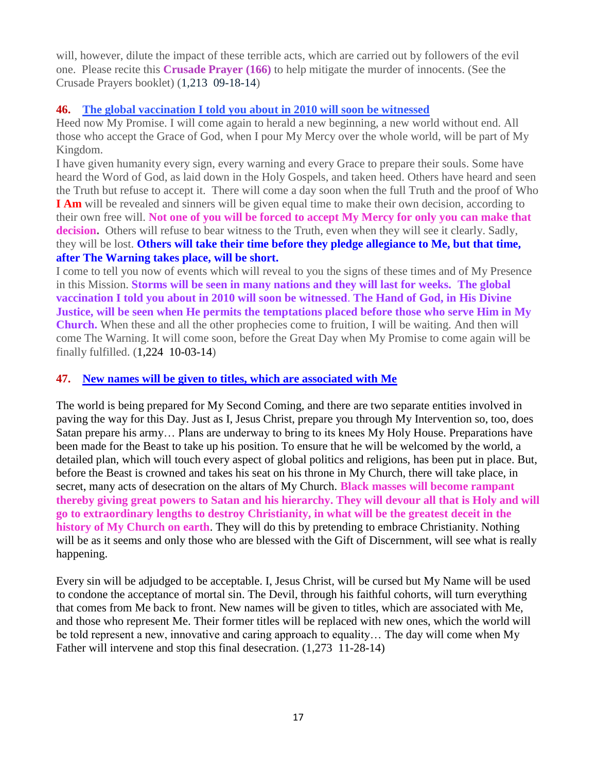will, however, dilute the impact of these terrible acts, which are carried out by followers of the evil one. Please recite this **Crusade Prayer (166)** to help mitigate the murder of innocents. (See the Crusade Prayers booklet) (1,213 09-18-14)

#### **46. [The global vaccination I told you about in 2010 will soon be witnessed](http://www.thewarningsecondcoming.com/the-global-vaccination-i-told-you-about-in-2010-will-soon-be-witnessed/)**

Heed now My Promise. I will come again to herald a new beginning, a new world without end. All those who accept the Grace of God, when I pour My Mercy over the whole world, will be part of My Kingdom.

I have given humanity every sign, every warning and every Grace to prepare their souls. Some have heard the Word of God, as laid down in the Holy Gospels, and taken heed. Others have heard and seen the Truth but refuse to accept it. There will come a day soon when the full Truth and the proof of Who **I Am** will be revealed and sinners will be given equal time to make their own decision, according to their own free will. **Not one of you will be forced to accept My Mercy for only you can make that decision.** Others will refuse to bear witness to the Truth, even when they will see it clearly. Sadly, they will be lost. **Others will take their time before they pledge allegiance to Me, but that time, after The Warning takes place, will be short.**

I come to tell you now of events which will reveal to you the signs of these times and of My Presence in this Mission. **Storms will be seen in many nations and they will last for weeks. The global vaccination I told you about in 2010 will soon be witnessed**. **The Hand of God, in His Divine Justice, will be seen when He permits the temptations placed before those who serve Him in My Church.** When these and all the other prophecies come to fruition, I will be waiting. And then will come The Warning. It will come soon, before the Great Day when My Promise to come again will be finally fulfilled. (1,224 10-03-14)

#### **47. [New names will be given to titles, which are associated with Me](http://www.thewarningsecondcoming.com/new-names-will-be-given-to-titles-which-are-associated-with-me/)**

The world is being prepared for My Second Coming, and there are two separate entities involved in paving the way for this Day. Just as I, Jesus Christ, prepare you through My Intervention so, too, does Satan prepare his army… Plans are underway to bring to its knees My Holy House. Preparations have been made for the Beast to take up his position. To ensure that he will be welcomed by the world, a detailed plan, which will touch every aspect of global politics and religions, has been put in place. But, before the Beast is crowned and takes his seat on his throne in My Church, there will take place, in secret, many acts of desecration on the altars of My Church. **Black masses will become rampant thereby giving great powers to Satan and his hierarchy. They will devour all that is Holy and will go to extraordinary lengths to destroy Christianity, in what will be the greatest deceit in the history of My Church on earth**. They will do this by pretending to embrace Christianity. Nothing will be as it seems and only those who are blessed with the Gift of Discernment, will see what is really happening.

Every sin will be adjudged to be acceptable. I, Jesus Christ, will be cursed but My Name will be used to condone the acceptance of mortal sin. The Devil, through his faithful cohorts, will turn everything that comes from Me back to front. New names will be given to titles, which are associated with Me, and those who represent Me. Their former titles will be replaced with new ones, which the world will be told represent a new, innovative and caring approach to equality… The day will come when My Father will intervene and stop this final desecration. (1,273 11-28-14)